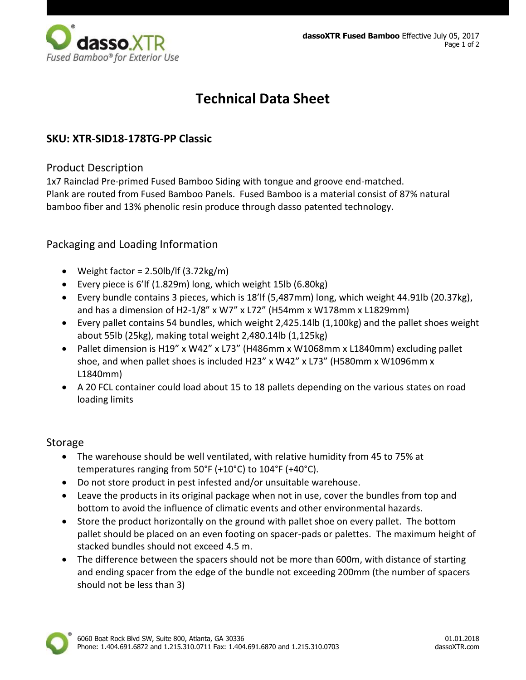

# **Technical Data Sheet**

## **SKU: XTR-SID18-178TG-PP Classic**

#### Product Description

1x7 Rainclad Pre-primed Fused Bamboo Siding with tongue and groove end-matched. Plank are routed from Fused Bamboo Panels. Fused Bamboo is a material consist of 87% natural bamboo fiber and 13% phenolic resin produce through dasso patented technology.

## Packaging and Loading Information

- Weight factor =  $2.50 \frac{\text{lb}}{\text{ft}} (3.72 \text{kg/m})$
- Every piece is 6'lf (1.829m) long, which weight 15lb (6.80kg)
- Every bundle contains 3 pieces, which is 18'lf (5,487mm) long, which weight 44.91lb (20.37kg), and has a dimension of H2-1/8" x W7" x L72" (H54mm x W178mm x L1829mm)
- Every pallet contains 54 bundles, which weight 2,425.14lb (1,100kg) and the pallet shoes weight about 55lb (25kg), making total weight 2,480.14lb (1,125kg)
- Pallet dimension is H19" x W42" x L73" (H486mm x W1068mm x L1840mm) excluding pallet shoe, and when pallet shoes is included H23" x W42" x L73" (H580mm x W1096mm x L1840mm)
- A 20 FCL container could load about 15 to 18 pallets depending on the various states on road loading limits

### Storage

- The warehouse should be well ventilated, with relative humidity from 45 to 75% at temperatures ranging from 50°F (+10°C) to 104°F (+40°C).
- Do not store product in pest infested and/or unsuitable warehouse.
- Leave the products in its original package when not in use, cover the bundles from top and bottom to avoid the influence of climatic events and other environmental hazards.
- Store the product horizontally on the ground with pallet shoe on every pallet. The bottom pallet should be placed on an even footing on spacer-pads or palettes. The maximum height of stacked bundles should not exceed 4.5 m.
- The difference between the spacers should not be more than 600m, with distance of starting and ending spacer from the edge of the bundle not exceeding 200mm (the number of spacers should not be less than 3)